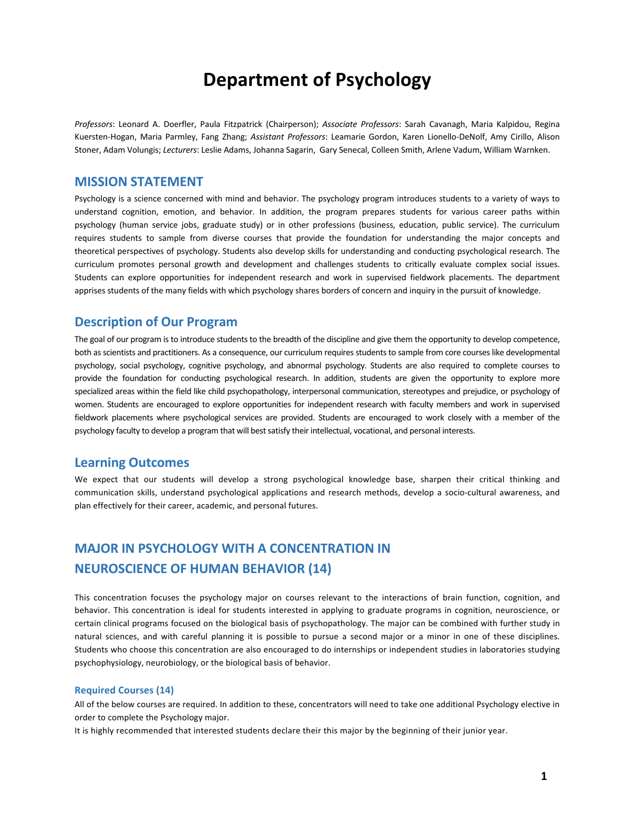# **Department of Psychology**

Professors: Leonard A. Doerfler, Paula Fitzpatrick (Chairperson); Associate Professors: Sarah Cavanagh, Maria Kalpidou, Regina Kuersten-Hogan, Maria Parmley, Fang Zhang; Assistant Professors: Leamarie Gordon, Karen Lionello-DeNolf, Amy Cirillo, Alison Stoner, Adam Volungis; Lecturers: Leslie Adams, Johanna Sagarin, Gary Senecal, Colleen Smith, Arlene Vadum, William Warnken.

## **MISSION STATEMENT**

Psychology is a science concerned with mind and behavior. The psychology program introduces students to a variety of ways to understand cognition, emotion, and behavior. In addition, the program prepares students for various career paths within psychology (human service jobs, graduate study) or in other professions (business, education, public service). The curriculum requires students to sample from diverse courses that provide the foundation for understanding the major concepts and theoretical perspectives of psychology. Students also develop skills for understanding and conducting psychological research. The curriculum promotes personal growth and development and challenges students to critically evaluate complex social issues. Students can explore opportunities for independent research and work in supervised fieldwork placements. The department apprises students of the many fields with which psychology shares borders of concern and inquiry in the pursuit of knowledge.

## **Description of Our Program**

The goal of our program is to introduce students to the breadth of the discipline and give them the opportunity to develop competence, both as scientists and practitioners. As a consequence, our curriculum requires students to sample from core courses like developmental psychology, social psychology, cognitive psychology, and abnormal psychology. Students are also required to complete courses to provide the foundation for conducting psychological research. In addition, students are given the opportunity to explore more specialized areas within the field like child psychopathology, interpersonal communication, stereotypes and prejudice, or psychology of women. Students are encouraged to explore opportunities for independent research with faculty members and work in supervised fieldwork placements where psychological services are provided. Students are encouraged to work closely with a member of the psychology faculty to develop a program that will best satisfy their intellectual, vocational, and personal interests.

## **Learning Outcomes**

We expect that our students will develop a strong psychological knowledge base, sharpen their critical thinking and communication skills, understand psychological applications and research methods, develop a socio-cultural awareness, and plan effectively for their career, academic, and personal futures.

## **MAJOR IN PSYCHOLOGY WITH A CONCENTRATION IN NEUROSCIENCE OF HUMAN BEHAVIOR (14)**

This concentration focuses the psychology major on courses relevant to the interactions of brain function, cognition, and behavior. This concentration is ideal for students interested in applying to graduate programs in cognition, neuroscience, or certain clinical programs focused on the biological basis of psychopathology. The major can be combined with further study in natural sciences, and with careful planning it is possible to pursue a second major or a minor in one of these disciplines. Students who choose this concentration are also encouraged to do internships or independent studies in laboratories studying psychophysiology, neurobiology, or the biological basis of behavior.

#### **Required Courses (14)**

All of the below courses are required. In addition to these, concentrators will need to take one additional Psychology elective in order to complete the Psychology major.

It is highly recommended that interested students declare their this major by the beginning of their junior year.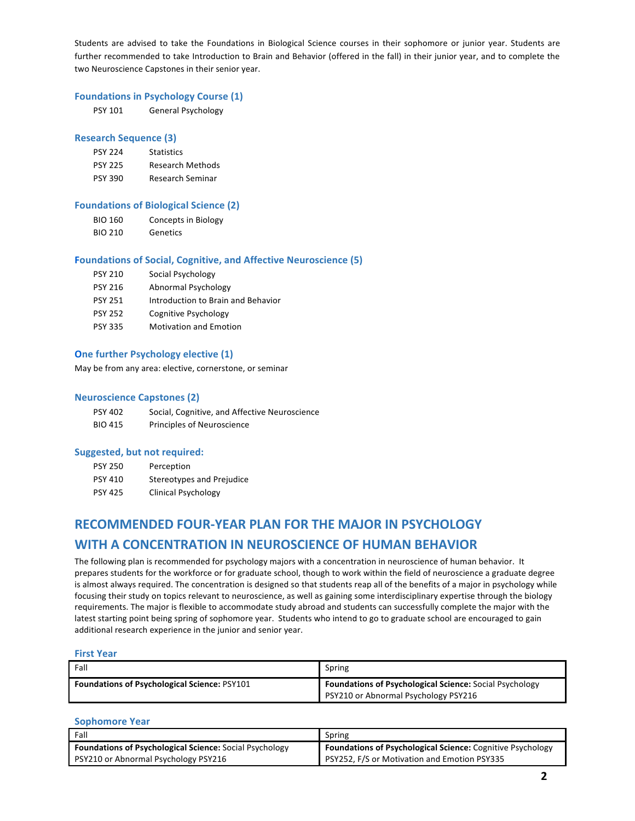Students are advised to take the Foundations in Biological Science courses in their sophomore or junior year. Students are further recommended to take Introduction to Brain and Behavior (offered in the fall) in their junior year, and to complete the two Neuroscience Capstones in their senior year.

#### **Foundations in Psychology Course (1)**

| PSY 101 | General Psychology |
|---------|--------------------|
|         |                    |

#### **Research Sequence (3)**

| <b>PSY 224</b> | <b>Statistics</b>       |
|----------------|-------------------------|
| <b>PSY 225</b> | <b>Research Methods</b> |
| <b>PSY 390</b> | Research Seminar        |

#### **Foundations of Biological Science (2)**

- BIO 160 Concepts in Biology
- BIO 210 Genetics

#### **Foundations of Social, Cognitive, and Affective Neuroscience (5)**

| <b>PSY 210</b> | Social Psychology                  |
|----------------|------------------------------------|
| <b>PSY 216</b> | Abnormal Psychology                |
| <b>PSY 251</b> | Introduction to Brain and Behavior |
| <b>PSY 252</b> | Cognitive Psychology               |
| <b>PSY 335</b> | <b>Motivation and Emotion</b>      |

### **One further Psychology elective (1)**

May be from any area: elective, cornerstone, or seminar

#### **Neuroscience Capstones (2)**

| PSY 402 | Social, Cognitive, and Affective Neuroscience |
|---------|-----------------------------------------------|
| BIO 415 | Principles of Neuroscience                    |

#### Suggested, but not required:

| <b>PSY 250</b> | Perception                 |
|----------------|----------------------------|
| <b>PSY 410</b> | Stereotypes and Prejudice  |
| <b>PSY 425</b> | <b>Clinical Psychology</b> |

## **RECOMMENDED FOUR-YEAR PLAN FOR THE MAJOR IN PSYCHOLOGY WITH A CONCENTRATION IN NEUROSCIENCE OF HUMAN BEHAVIOR**

The following plan is recommended for psychology majors with a concentration in neuroscience of human behavior. It prepares students for the workforce or for graduate school, though to work within the field of neuroscience a graduate degree is almost always required. The concentration is designed so that students reap all of the benefits of a major in psychology while focusing their study on topics relevant to neuroscience, as well as gaining some interdisciplinary expertise through the biology requirements. The major is flexible to accommodate study abroad and students can successfully complete the major with the latest starting point being spring of sophomore year. Students who intend to go to graduate school are encouraged to gain additional research experience in the junior and senior year.

#### **First Year**

| Fall                                                | Spring                                                         |
|-----------------------------------------------------|----------------------------------------------------------------|
| <b>Foundations of Psychological Science: PSY101</b> | <b>Foundations of Psychological Science:</b> Social Psychology |
|                                                     | PSY210 or Abnormal Psychology PSY216                           |

#### **Sophomore Year**

| Fall                                                    | Spring                                                            |
|---------------------------------------------------------|-------------------------------------------------------------------|
| Foundations of Psychological Science: Social Psychology | <b>Foundations of Psychological Science: Cognitive Psychology</b> |
| PSY210 or Abnormal Psychology PSY216                    | PSY252, F/S or Motivation and Emotion PSY335                      |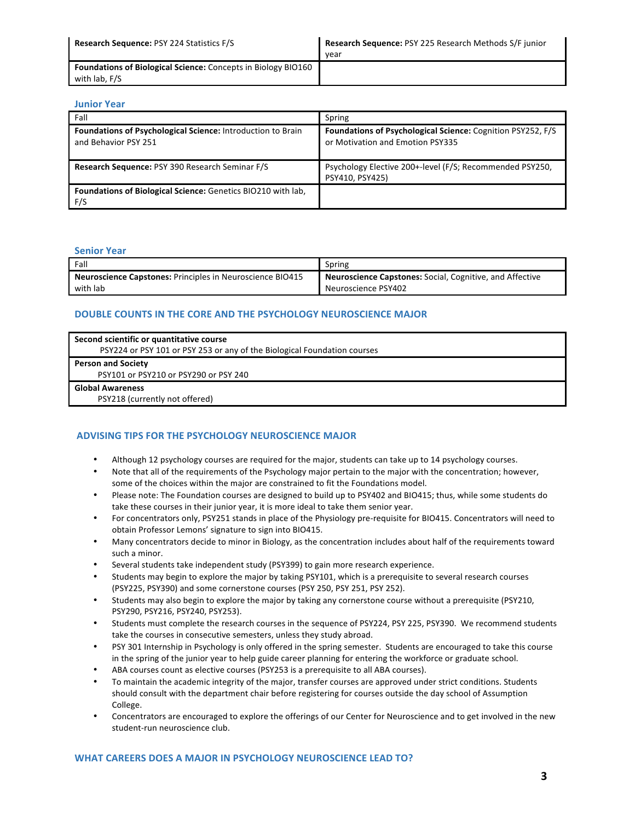| <b>Research Sequence: PSY 224 Statistics F/S</b>                     | Research Sequence: PSY 225 Research Methods S/F junior |
|----------------------------------------------------------------------|--------------------------------------------------------|
|                                                                      | vear                                                   |
| <b>Foundations of Biological Science:</b> Concepts in Biology BIO160 |                                                        |
| with lab, F/S                                                        |                                                        |

#### **Junior Year**

| Fall                                                                                       | Spring                                                                                                 |
|--------------------------------------------------------------------------------------------|--------------------------------------------------------------------------------------------------------|
| <b>Foundations of Psychological Science:</b> Introduction to Brain<br>and Behavior PSY 251 | <b>Foundations of Psychological Science: Cognition PSY252, F/S</b><br>or Motivation and Emotion PSY335 |
| Research Sequence: PSY 390 Research Seminar F/S                                            | Psychology Elective 200+-level (F/S; Recommended PSY250,<br>PSY410, PSY425)                            |
| Foundations of Biological Science: Genetics BIO210 with lab.<br>F/S                        |                                                                                                        |

#### **Senior Year**

| Fall                                                             | Spring                                                          |
|------------------------------------------------------------------|-----------------------------------------------------------------|
| <b>Neuroscience Capstones: Principles in Neuroscience BIO415</b> | <b>Neuroscience Capstones:</b> Social, Cognitive, and Affective |
| with lab                                                         | Neuroscience PSY402                                             |

### **DOUBLE COUNTS IN THE CORE AND THE PSYCHOLOGY NEUROSCIENCE MAJOR**

| Second scientific or quantitative course                                 |
|--------------------------------------------------------------------------|
| PSY224 or PSY 101 or PSY 253 or any of the Biological Foundation courses |
| <b>Person and Society</b>                                                |
| PSY101 or PSY210 or PSY290 or PSY 240                                    |
| <b>Global Awareness</b>                                                  |
| PSY218 (currently not offered)                                           |
|                                                                          |

### **ADVISING TIPS FOR THE PSYCHOLOGY NEUROSCIENCE MAJOR**

- Although 12 psychology courses are required for the major, students can take up to 14 psychology courses.
- Note that all of the requirements of the Psychology major pertain to the major with the concentration; however, some of the choices within the major are constrained to fit the Foundations model.
- Please note: The Foundation courses are designed to build up to PSY402 and BIO415; thus, while some students do take these courses in their junior year, it is more ideal to take them senior year.
- For concentrators only, PSY251 stands in place of the Physiology pre-requisite for BIO415. Concentrators will need to obtain Professor Lemons' signature to sign into BIO415.
- Many concentrators decide to minor in Biology, as the concentration includes about half of the requirements toward such a minor.
- Several students take independent study (PSY399) to gain more research experience.
- Students may begin to explore the major by taking PSY101, which is a prerequisite to several research courses (PSY225, PSY390) and some cornerstone courses (PSY 250, PSY 251, PSY 252).
- Students may also begin to explore the major by taking any cornerstone course without a prerequisite (PSY210, PSY290, PSY216, PSY240, PSY253).
- Students must complete the research courses in the sequence of PSY224, PSY 225, PSY390. We recommend students take the courses in consecutive semesters, unless they study abroad.
- PSY 301 Internship in Psychology is only offered in the spring semester. Students are encouraged to take this course in the spring of the junior year to help guide career planning for entering the workforce or graduate school.
- ABA courses count as elective courses (PSY253 is a prerequisite to all ABA courses).
- To maintain the academic integrity of the major, transfer courses are approved under strict conditions. Students should consult with the department chair before registering for courses outside the day school of Assumption College.
- Concentrators are encouraged to explore the offerings of our Center for Neuroscience and to get involved in the new student-run neuroscience club.

#### **WHAT CAREERS DOES A MAJOR IN PSYCHOLOGY NEUROSCIENCE LEAD TO?**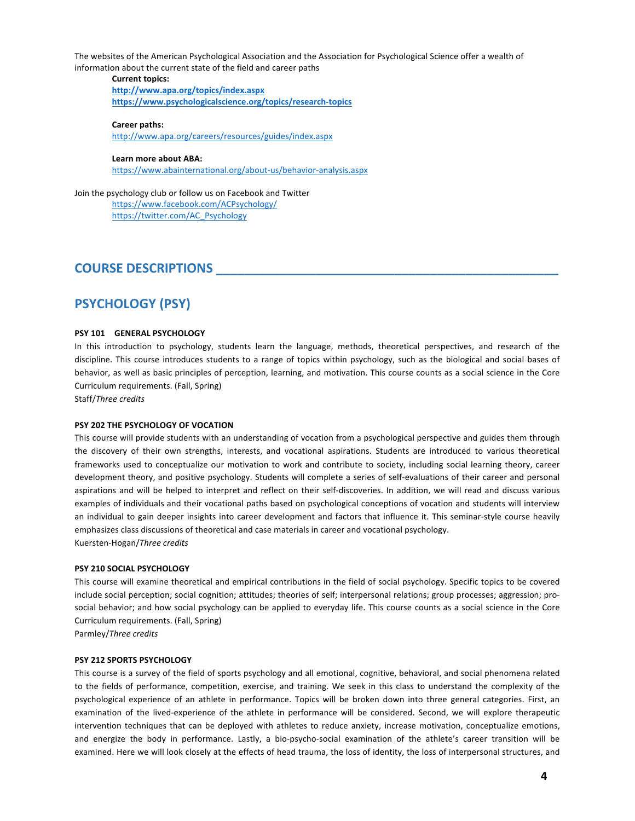The websites of the American Psychological Association and the Association for Psychological Science offer a wealth of information about the current state of the field and career paths

**Current topics:** 

**http://www.apa.org/topics/index.aspx https://www.psychologicalscience.org/topics/research-topics**

#### **Career paths:**

http://www.apa.org/careers/resources/guides/index.aspx

#### Learn more about ABA:

https://www.abainternational.org/about-us/behavior-analysis.aspx

Join the psychology club or follow us on Facebook and Twitter https://www.facebook.com/ACPsychology/ https://twitter.com/AC\_Psychology 

## **COURSE DESCRIPTIONS**

## **PSYCHOLOGY (PSY)**

#### **PSY 101 GENERAL PSYCHOLOGY**

In this introduction to psychology, students learn the language, methods, theoretical perspectives, and research of the discipline. This course introduces students to a range of topics within psychology, such as the biological and social bases of behavior, as well as basic principles of perception, learning, and motivation. This course counts as a social science in the Core Curriculum requirements. (Fall, Spring)

Staff/*Three credits*

#### **PSY 202 THE PSYCHOLOGY OF VOCATION**

This course will provide students with an understanding of vocation from a psychological perspective and guides them through the discovery of their own strengths, interests, and vocational aspirations. Students are introduced to various theoretical frameworks used to conceptualize our motivation to work and contribute to society, including social learning theory, career development theory, and positive psychology. Students will complete a series of self-evaluations of their career and personal aspirations and will be helped to interpret and reflect on their self-discoveries. In addition, we will read and discuss various examples of individuals and their vocational paths based on psychological conceptions of vocation and students will interview an individual to gain deeper insights into career development and factors that influence it. This seminar-style course heavily emphasizes class discussions of theoretical and case materials in career and vocational psychology. Kuersten-Hogan/*Three credits*

#### **PSY 210 SOCIAL PSYCHOLOGY**

This course will examine theoretical and empirical contributions in the field of social psychology. Specific topics to be covered include social perception; social cognition; attitudes; theories of self; interpersonal relations; group processes; aggression; prosocial behavior; and how social psychology can be applied to everyday life. This course counts as a social science in the Core Curriculum requirements. (Fall, Spring)

Parmley/*Three credits*

#### **PSY 212 SPORTS PSYCHOLOGY**

This course is a survey of the field of sports psychology and all emotional, cognitive, behavioral, and social phenomena related to the fields of performance, competition, exercise, and training. We seek in this class to understand the complexity of the psychological experience of an athlete in performance. Topics will be broken down into three general categories. First, an examination of the lived-experience of the athlete in performance will be considered. Second, we will explore therapeutic intervention techniques that can be deployed with athletes to reduce anxiety, increase motivation, conceptualize emotions, and energize the body in performance. Lastly, a bio-psycho-social examination of the athlete's career transition will be examined. Here we will look closely at the effects of head trauma, the loss of identity, the loss of interpersonal structures, and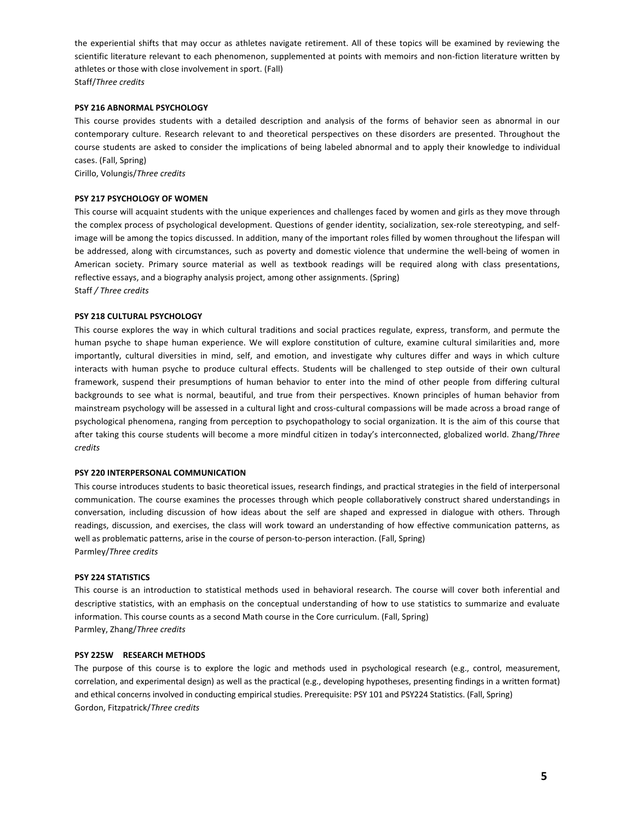the experiential shifts that may occur as athletes navigate retirement. All of these topics will be examined by reviewing the scientific literature relevant to each phenomenon, supplemented at points with memoirs and non-fiction literature written by athletes or those with close involvement in sport. (Fall) Staff/*Three credits*

#### **PSY 216 ABNORMAL PSYCHOLOGY**

This course provides students with a detailed description and analysis of the forms of behavior seen as abnormal in our contemporary culture. Research relevant to and theoretical perspectives on these disorders are presented. Throughout the course students are asked to consider the implications of being labeled abnormal and to apply their knowledge to individual cases. (Fall, Spring)

Cirillo, Volungis/*Three credits*

#### **PSY 217 PSYCHOLOGY OF WOMEN**

This course will acquaint students with the unique experiences and challenges faced by women and girls as they move through the complex process of psychological development. Questions of gender identity, socialization, sex-role stereotyping, and selfimage will be among the topics discussed. In addition, many of the important roles filled by women throughout the lifespan will be addressed, along with circumstances, such as poverty and domestic violence that undermine the well-being of women in American society. Primary source material as well as textbook readings will be required along with class presentations, reflective essays, and a biography analysis project, among other assignments. (Spring) Staff */ Three credits*

#### **PSY 218 CULTURAL PSYCHOLOGY**

This course explores the way in which cultural traditions and social practices regulate, express, transform, and permute the human psyche to shape human experience. We will explore constitution of culture, examine cultural similarities and, more importantly, cultural diversities in mind, self, and emotion, and investigate why cultures differ and ways in which culture interacts with human psyche to produce cultural effects. Students will be challenged to step outside of their own cultural framework, suspend their presumptions of human behavior to enter into the mind of other people from differing cultural backgrounds to see what is normal, beautiful, and true from their perspectives. Known principles of human behavior from mainstream psychology will be assessed in a cultural light and cross-cultural compassions will be made across a broad range of psychological phenomena, ranging from perception to psychopathology to social organization. It is the aim of this course that after taking this course students will become a more mindful citizen in today's interconnected, globalized world. Zhang/Three *credits*

#### **PSY 220 INTERPERSONAL COMMUNICATION**

This course introduces students to basic theoretical issues, research findings, and practical strategies in the field of interpersonal communication. The course examines the processes through which people collaboratively construct shared understandings in conversation, including discussion of how ideas about the self are shaped and expressed in dialogue with others. Through readings, discussion, and exercises, the class will work toward an understanding of how effective communication patterns, as well as problematic patterns, arise in the course of person-to-person interaction. (Fall, Spring) Parmley/*Three credits*

#### **PSY 224 STATISTICS**

This course is an introduction to statistical methods used in behavioral research. The course will cover both inferential and descriptive statistics, with an emphasis on the conceptual understanding of how to use statistics to summarize and evaluate information. This course counts as a second Math course in the Core curriculum. (Fall, Spring) Parmley, Zhang/*Three credits*

#### **PSY 225W RESEARCH METHODS**

The purpose of this course is to explore the logic and methods used in psychological research (e.g., control, measurement, correlation, and experimental design) as well as the practical (e.g., developing hypotheses, presenting findings in a written format) and ethical concerns involved in conducting empirical studies. Prerequisite: PSY 101 and PSY224 Statistics. (Fall, Spring) Gordon, Fitzpatrick/*Three credits*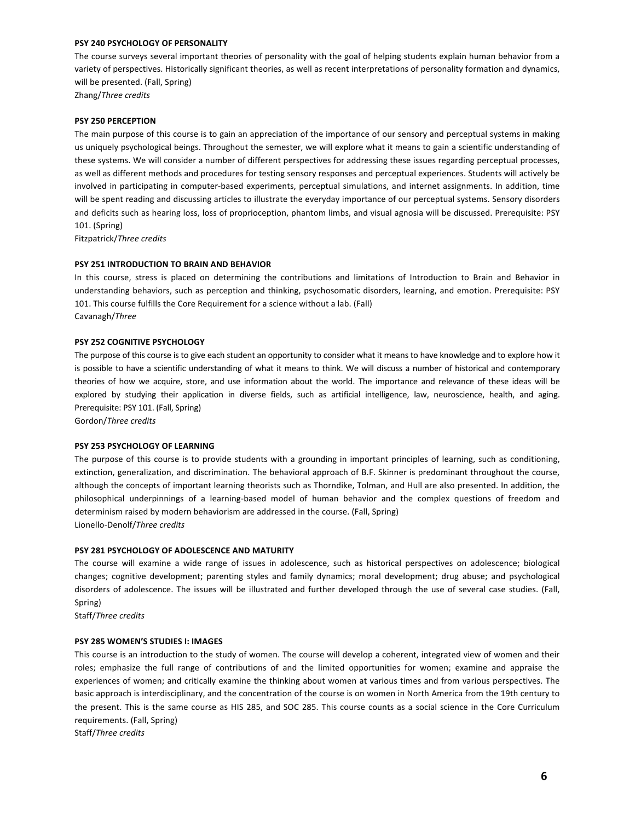#### **PSY 240 PSYCHOLOGY OF PERSONALITY**

The course surveys several important theories of personality with the goal of helping students explain human behavior from a variety of perspectives. Historically significant theories, as well as recent interpretations of personality formation and dynamics, will be presented. (Fall, Spring)

Zhang/*Three credits*

#### **PSY 250 PERCEPTION**

The main purpose of this course is to gain an appreciation of the importance of our sensory and perceptual systems in making us uniquely psychological beings. Throughout the semester, we will explore what it means to gain a scientific understanding of these systems. We will consider a number of different perspectives for addressing these issues regarding perceptual processes, as well as different methods and procedures for testing sensory responses and perceptual experiences. Students will actively be involved in participating in computer-based experiments, perceptual simulations, and internet assignments. In addition, time will be spent reading and discussing articles to illustrate the everyday importance of our perceptual systems. Sensory disorders and deficits such as hearing loss, loss of proprioception, phantom limbs, and visual agnosia will be discussed. Prerequisite: PSY 101. (Spring)

Fitzpatrick/*Three credits*

#### **PSY 251 INTRODUCTION TO BRAIN AND BEHAVIOR**

In this course, stress is placed on determining the contributions and limitations of Introduction to Brain and Behavior in understanding behaviors, such as perception and thinking, psychosomatic disorders, learning, and emotion. Prerequisite: PSY 101. This course fulfills the Core Requirement for a science without a lab. (Fall) Cavanagh/*Three*

#### **PSY 252 COGNITIVE PSYCHOLOGY**

The purpose of this course is to give each student an opportunity to consider what it means to have knowledge and to explore how it is possible to have a scientific understanding of what it means to think. We will discuss a number of historical and contemporary theories of how we acquire, store, and use information about the world. The importance and relevance of these ideas will be explored by studying their application in diverse fields, such as artificial intelligence, law, neuroscience, health, and aging. Prerequisite: PSY 101. (Fall, Spring)

Gordon/*Three credits*

#### **PSY 253 PSYCHOLOGY OF LEARNING**

The purpose of this course is to provide students with a grounding in important principles of learning, such as conditioning, extinction, generalization, and discrimination. The behavioral approach of B.F. Skinner is predominant throughout the course, although the concepts of important learning theorists such as Thorndike, Tolman, and Hull are also presented. In addition, the philosophical underpinnings of a learning-based model of human behavior and the complex questions of freedom and determinism raised by modern behaviorism are addressed in the course. (Fall, Spring) Lionello-Denolf/*Three credits*

#### **PSY 281 PSYCHOLOGY OF ADOLESCENCE AND MATURITY**

The course will examine a wide range of issues in adolescence, such as historical perspectives on adolescence; biological changes; cognitive development; parenting styles and family dynamics; moral development; drug abuse; and psychological disorders of adolescence. The issues will be illustrated and further developed through the use of several case studies. (Fall, Spring)

Staff/*Three credits*

#### **PSY 285 WOMEN'S STUDIES I: IMAGES**

This course is an introduction to the study of women. The course will develop a coherent, integrated view of women and their roles; emphasize the full range of contributions of and the limited opportunities for women; examine and appraise the experiences of women; and critically examine the thinking about women at various times and from various perspectives. The basic approach is interdisciplinary, and the concentration of the course is on women in North America from the 19th century to the present. This is the same course as HIS 285, and SOC 285. This course counts as a social science in the Core Curriculum requirements. (Fall, Spring)

Staff/*Three credits*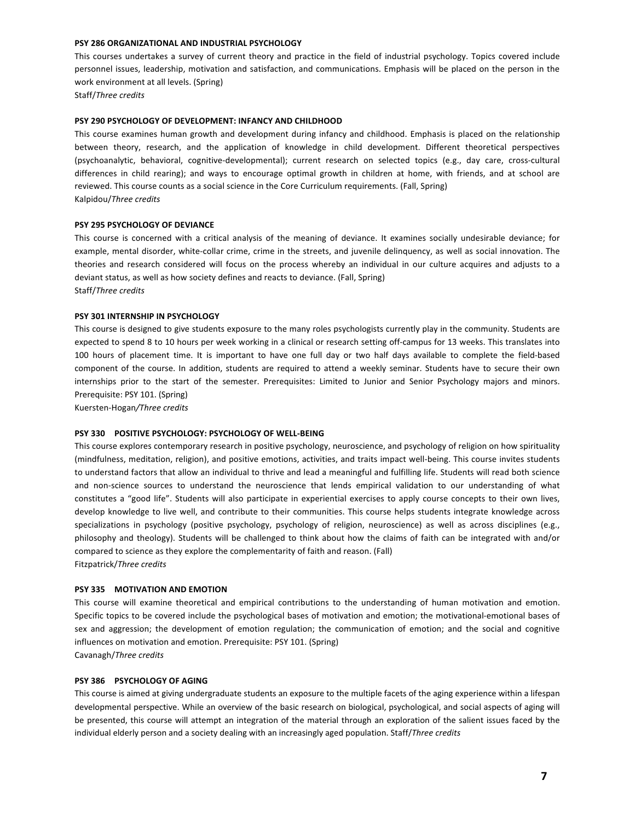#### **PSY 286 ORGANIZATIONAL AND INDUSTRIAL PSYCHOLOGY**

This courses undertakes a survey of current theory and practice in the field of industrial psychology. Topics covered include personnel issues, leadership, motivation and satisfaction, and communications. Emphasis will be placed on the person in the work environment at all levels. (Spring)

Staff/*Three credits*

#### **PSY 290 PSYCHOLOGY OF DEVELOPMENT: INFANCY AND CHILDHOOD**

This course examines human growth and development during infancy and childhood. Emphasis is placed on the relationship between theory, research, and the application of knowledge in child development. Different theoretical perspectives (psychoanalytic, behavioral, cognitive-developmental); current research on selected topics (e.g., day care, cross-cultural differences in child rearing); and ways to encourage optimal growth in children at home, with friends, and at school are reviewed. This course counts as a social science in the Core Curriculum requirements. (Fall, Spring) Kalpidou/*Three credits*

#### **PSY 295 PSYCHOLOGY OF DEVIANCE**

This course is concerned with a critical analysis of the meaning of deviance. It examines socially undesirable deviance; for example, mental disorder, white-collar crime, crime in the streets, and juvenile delinquency, as well as social innovation. The theories and research considered will focus on the process whereby an individual in our culture acquires and adjusts to a deviant status, as well as how society defines and reacts to deviance. (Fall, Spring) Staff/*Three credits*

#### **PSY 301 INTERNSHIP IN PSYCHOLOGY**

This course is designed to give students exposure to the many roles psychologists currently play in the community. Students are expected to spend 8 to 10 hours per week working in a clinical or research setting off-campus for 13 weeks. This translates into 100 hours of placement time. It is important to have one full day or two half days available to complete the field-based component of the course. In addition, students are required to attend a weekly seminar. Students have to secure their own internships prior to the start of the semester. Prerequisites: Limited to Junior and Senior Psychology majors and minors. Prerequisite: PSY 101. (Spring)

Kuersten-Hogan*/Three credits*

#### **PSY 330 POSITIVE PSYCHOLOGY: PSYCHOLOGY OF WELL-BEING**

This course explores contemporary research in positive psychology, neuroscience, and psychology of religion on how spirituality (mindfulness, meditation, religion), and positive emotions, activities, and traits impact well-being. This course invites students to understand factors that allow an individual to thrive and lead a meaningful and fulfilling life. Students will read both science and non-science sources to understand the neuroscience that lends empirical validation to our understanding of what constitutes a "good life". Students will also participate in experiential exercises to apply course concepts to their own lives, develop knowledge to live well, and contribute to their communities. This course helps students integrate knowledge across specializations in psychology (positive psychology, psychology of religion, neuroscience) as well as across disciplines (e.g., philosophy and theology). Students will be challenged to think about how the claims of faith can be integrated with and/or compared to science as they explore the complementarity of faith and reason. (Fall) Fitzpatrick/*Three credits*

#### **PSY 335 MOTIVATION AND EMOTION**

This course will examine theoretical and empirical contributions to the understanding of human motivation and emotion. Specific topics to be covered include the psychological bases of motivation and emotion; the motivational-emotional bases of sex and aggression; the development of emotion regulation; the communication of emotion; and the social and cognitive influences on motivation and emotion. Prerequisite: PSY 101. (Spring) Cavanagh/*Three credits*

#### **PSY 386 PSYCHOLOGY OF AGING**

This course is aimed at giving undergraduate students an exposure to the multiple facets of the aging experience within a lifespan developmental perspective. While an overview of the basic research on biological, psychological, and social aspects of aging will be presented, this course will attempt an integration of the material through an exploration of the salient issues faced by the individual elderly person and a society dealing with an increasingly aged population. Staff/Three credits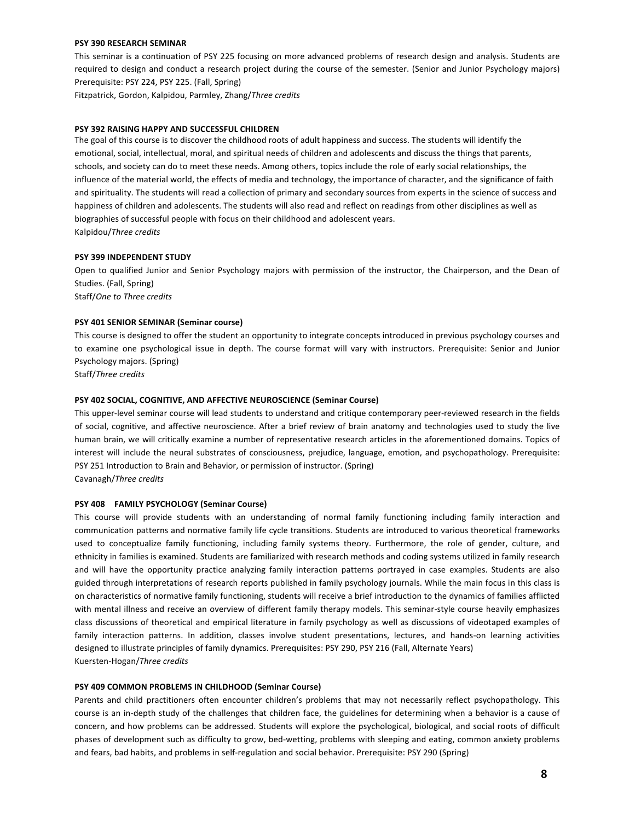#### **PSY 390 RESEARCH SEMINAR**

This seminar is a continuation of PSY 225 focusing on more advanced problems of research design and analysis. Students are required to design and conduct a research project during the course of the semester. (Senior and Junior Psychology majors) Prerequisite: PSY 224, PSY 225. (Fall, Spring)

Fitzpatrick, Gordon, Kalpidou, Parmley, Zhang/*Three credits*

#### **PSY 392 RAISING HAPPY AND SUCCESSFUL CHILDREN**

The goal of this course is to discover the childhood roots of adult happiness and success. The students will identify the emotional, social, intellectual, moral, and spiritual needs of children and adolescents and discuss the things that parents, schools, and society can do to meet these needs. Among others, topics include the role of early social relationships, the influence of the material world, the effects of media and technology, the importance of character, and the significance of faith and spirituality. The students will read a collection of primary and secondary sources from experts in the science of success and happiness of children and adolescents. The students will also read and reflect on readings from other disciplines as well as biographies of successful people with focus on their childhood and adolescent years. Kalpidou/*Three credits*

#### **PSY 399 INDEPENDENT STUDY**

Open to qualified Junior and Senior Psychology majors with permission of the instructor, the Chairperson, and the Dean of Studies. (Fall, Spring) Staff/One to Three credits

## **PSY 401 SENIOR SEMINAR (Seminar course)**

This course is designed to offer the student an opportunity to integrate concepts introduced in previous psychology courses and to examine one psychological issue in depth. The course format will vary with instructors. Prerequisite: Senior and Junior Psychology majors. (Spring)

Staff/*Three credits*

#### **PSY 402 SOCIAL, COGNITIVE, AND AFFECTIVE NEUROSCIENCE (Seminar Course)**

This upper-level seminar course will lead students to understand and critique contemporary peer-reviewed research in the fields of social, cognitive, and affective neuroscience. After a brief review of brain anatomy and technologies used to study the live human brain, we will critically examine a number of representative research articles in the aforementioned domains. Topics of interest will include the neural substrates of consciousness, prejudice, language, emotion, and psychopathology. Prerequisite: PSY 251 Introduction to Brain and Behavior, or permission of instructor. (Spring) Cavanagh/*Three credits*

#### **PSY 408 FAMILY PSYCHOLOGY (Seminar Course)**

This course will provide students with an understanding of normal family functioning including family interaction and communication patterns and normative family life cycle transitions. Students are introduced to various theoretical frameworks used to conceptualize family functioning, including family systems theory. Furthermore, the role of gender, culture, and ethnicity in families is examined. Students are familiarized with research methods and coding systems utilized in family research and will have the opportunity practice analyzing family interaction patterns portrayed in case examples. Students are also guided through interpretations of research reports published in family psychology journals. While the main focus in this class is on characteristics of normative family functioning, students will receive a brief introduction to the dynamics of families afflicted with mental illness and receive an overview of different family therapy models. This seminar-style course heavily emphasizes class discussions of theoretical and empirical literature in family psychology as well as discussions of videotaped examples of family interaction patterns. In addition, classes involve student presentations, lectures, and hands-on learning activities designed to illustrate principles of family dynamics. Prerequisites: PSY 290, PSY 216 (Fall, Alternate Years) Kuersten-Hogan/*Three credits*

#### **PSY 409 COMMON PROBLEMS IN CHILDHOOD (Seminar Course)**

Parents and child practitioners often encounter children's problems that may not necessarily reflect psychopathology. This course is an in-depth study of the challenges that children face, the guidelines for determining when a behavior is a cause of concern, and how problems can be addressed. Students will explore the psychological, biological, and social roots of difficult phases of development such as difficulty to grow, bed-wetting, problems with sleeping and eating, common anxiety problems and fears, bad habits, and problems in self-regulation and social behavior. Prerequisite: PSY 290 (Spring)